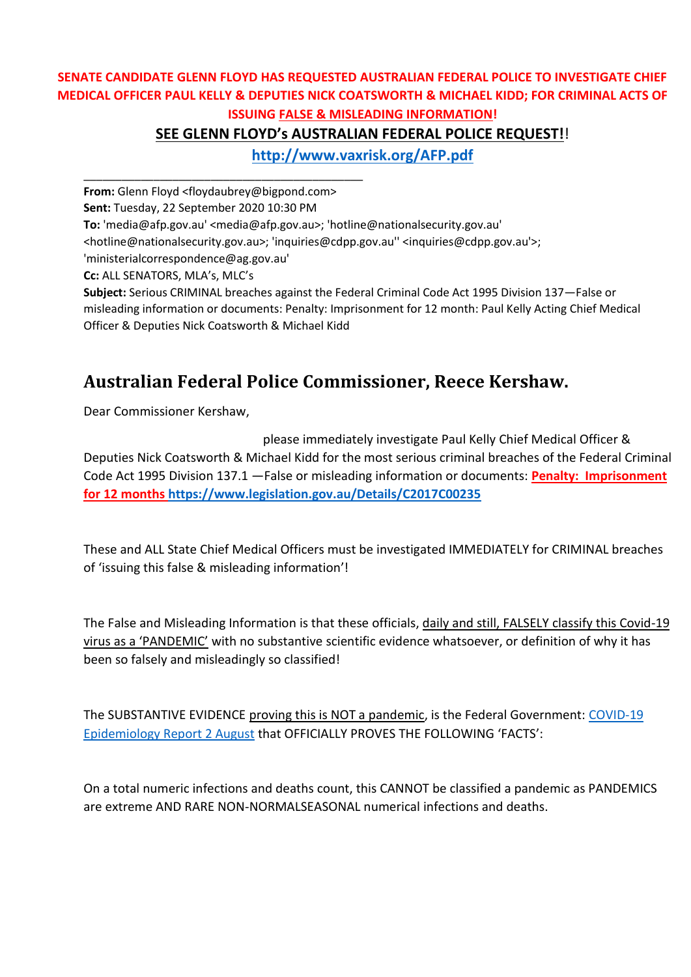#### **SENATE CANDIDATE GLENN FLOYD HAS REQUESTED AUSTRALIAN FEDERAL POLICE TO INVESTIGATE CHIEF MEDICAL OFFICER PAUL KELLY & DEPUTIES NICK COATSWORTH & MICHAEL KIDD; FOR CRIMINAL ACTS OF ISSUING FALSE & MISLEADING INFORMATION!**

## **SEE GLENN FLOYD's AUSTRALIAN FEDERAL POLICE REQUEST!**!

**<http://www.vaxrisk.org/AFP.pdf>**

**From:** Glenn Floyd <floydaubrey@bigpond.com>

\_\_\_\_\_\_\_\_\_\_\_\_\_\_\_\_\_\_\_\_\_\_\_\_\_\_\_\_\_\_\_\_\_\_\_\_\_\_\_\_\_\_\_\_

**Sent:** Tuesday, 22 September 2020 10:30 PM

**To:** 'media@afp.gov.au' <media@afp.gov.au>; 'hotline@nationalsecurity.gov.au'

<hotline@nationalsecurity.gov.au>; 'inquiries@cdpp.gov.au'' <inquiries@cdpp.gov.au'>;

'ministerialcorrespondence@ag.gov.au'

**Cc:** ALL SENATORS, MLA's, MLC's

**Subject:** Serious CRIMINAL breaches against the Federal Criminal Code Act 1995 Division 137—False or misleading information or documents: Penalty: Imprisonment for 12 month: Paul Kelly Acting Chief Medical Officer & Deputies Nick Coatsworth & Michael Kidd

# **Australian Federal Police Commissioner, Reece Kershaw.**

Dear Commissioner Kershaw,

 please immediately investigate Paul Kelly Chief Medical Officer & Deputies Nick Coatsworth & Michael Kidd for the most serious criminal breaches of the Federal Criminal Code Act 1995 Division 137.1 —False or misleading information or documents: **Penalty: Imprisonment for 12 months<https://www.legislation.gov.au/Details/C2017C00235>**

These and ALL State Chief Medical Officers must be investigated IMMEDIATELY for CRIMINAL breaches of 'issuing this false & misleading information'!

The False and Misleading Information is that these officials, daily and still, FALSELY classify this Covid-19 virus as a 'PANDEMIC' with no substantive scientific evidence whatsoever, or definition of why it has been so falsely and misleadingly so classified!

The SUBSTANTIVE EVIDENCE proving this is NOT a pandemic, is the Federal Government: [COVID-19](https://www1.health.gov.au/internet/main/publishing.nsf/Content/1D03BCB527F40C8BCA258503000302EB/$File/covid_19_australia_epidemiology_report_22_fortnightly_reporting_period_ending_2_august_2020.pdf) [Epidemiology Report 2 August](https://www1.health.gov.au/internet/main/publishing.nsf/Content/1D03BCB527F40C8BCA258503000302EB/$File/covid_19_australia_epidemiology_report_22_fortnightly_reporting_period_ending_2_august_2020.pdf) that OFFICIALLY PROVES THE FOLLOWING 'FACTS':

On a total numeric infections and deaths count, this CANNOT be classified a pandemic as PANDEMICS are extreme AND RARE NON-NORMALSEASONAL numerical infections and deaths.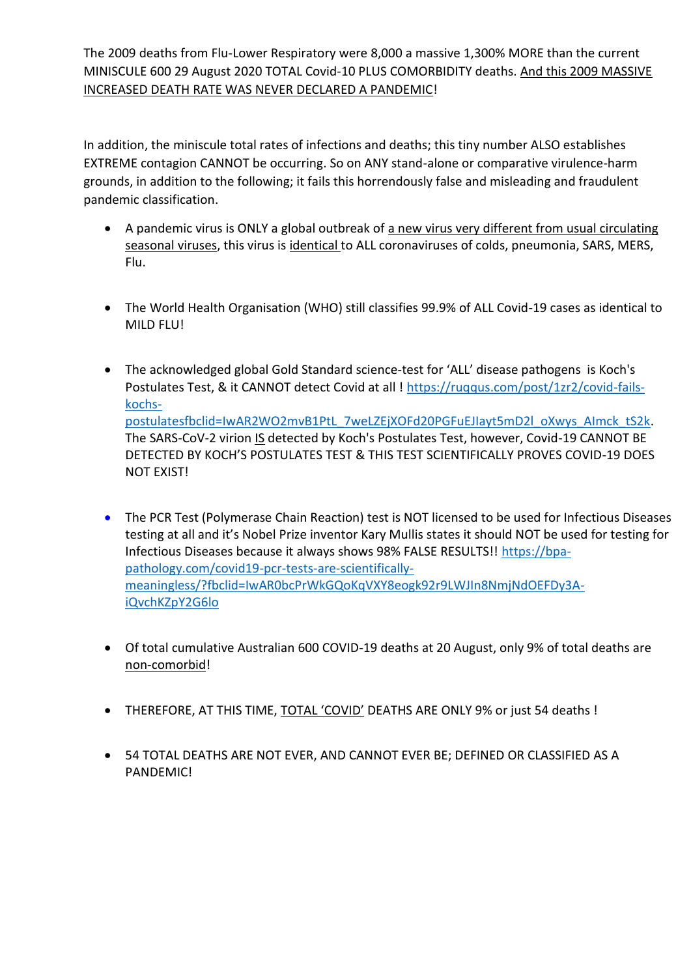The 2009 deaths from Flu-Lower Respiratory were 8,000 a massive 1,300% MORE than the current MINISCULE 600 29 August 2020 TOTAL Covid-10 PLUS COMORBIDITY deaths. And this 2009 MASSIVE INCREASED DEATH RATE WAS NEVER DECLARED A PANDEMIC!

In addition, the miniscule total rates of infections and deaths; this tiny number ALSO establishes EXTREME contagion CANNOT be occurring. So on ANY stand-alone or comparative virulence-harm grounds, in addition to the following; it fails this horrendously false and misleading and fraudulent pandemic classification.

- A pandemic virus is ONLY a global outbreak of a new virus very different from usual circulating seasonal viruses, this virus is identical to ALL coronaviruses of colds, pneumonia, SARS, MERS, Flu.
- The World Health Organisation (WHO) still classifies 99.9% of ALL Covid-19 cases as identical to MILD FLU!
- The acknowledged global Gold Standard science-test for 'ALL' disease pathogens is Koch's Postulates Test, & it CANNOT detect Covid at all ! [https://ruqqus.com/post/1zr2/covid-fails](https://ruqqus.com/post/1zr2/covid-fails-kochs-postulatesfbclid=IwAR2WO2mvB1PtL_7weLZEjXOFd20PGFuEJIayt5mD2l_oXwys_AImck_tS2k)[kochs](https://ruqqus.com/post/1zr2/covid-fails-kochs-postulatesfbclid=IwAR2WO2mvB1PtL_7weLZEjXOFd20PGFuEJIayt5mD2l_oXwys_AImck_tS2k)[postulatesfbclid=IwAR2WO2mvB1PtL\\_7weLZEjXOFd20PGFuEJIayt5mD2l\\_oXwys\\_AImck\\_tS2k.](https://ruqqus.com/post/1zr2/covid-fails-kochs-postulatesfbclid=IwAR2WO2mvB1PtL_7weLZEjXOFd20PGFuEJIayt5mD2l_oXwys_AImck_tS2k) The SARS-CoV-2 virion IS detected by Koch's Postulates Test, however, Covid-19 CANNOT BE DETECTED BY KOCH'S POSTULATES TEST & THIS TEST SCIENTIFICALLY PROVES COVID-19 DOES NOT EXIST!
- The PCR Test (Polymerase Chain Reaction) test is NOT licensed to be used for Infectious Diseases testing at all and it's Nobel Prize inventor Kary Mullis states it should NOT be used for testing for Infectious Diseases because it always shows 98% FALSE RESULTS!! [https://bpa](https://bpa-pathology.com/covid19-pcr-tests-are-scientifically-meaningless/?fbclid=IwAR0bcPrWkGQoKqVXY8eogk92r9LWJIn8NmjNdOEFDy3A-iQvchKZpY2G6lo)[pathology.com/covid19-pcr-tests-are-scientifically](https://bpa-pathology.com/covid19-pcr-tests-are-scientifically-meaningless/?fbclid=IwAR0bcPrWkGQoKqVXY8eogk92r9LWJIn8NmjNdOEFDy3A-iQvchKZpY2G6lo)[meaningless/?fbclid=IwAR0bcPrWkGQoKqVXY8eogk92r9LWJIn8NmjNdOEFDy3A](https://bpa-pathology.com/covid19-pcr-tests-are-scientifically-meaningless/?fbclid=IwAR0bcPrWkGQoKqVXY8eogk92r9LWJIn8NmjNdOEFDy3A-iQvchKZpY2G6lo)[iQvchKZpY2G6lo](https://bpa-pathology.com/covid19-pcr-tests-are-scientifically-meaningless/?fbclid=IwAR0bcPrWkGQoKqVXY8eogk92r9LWJIn8NmjNdOEFDy3A-iQvchKZpY2G6lo)
- Of total cumulative Australian 600 COVID-19 deaths at 20 August, only 9% of total deaths are non-comorbid!
- THEREFORE, AT THIS TIME, TOTAL 'COVID' DEATHS ARE ONLY 9% or just 54 deaths !
- 54 TOTAL DEATHS ARE NOT EVER, AND CANNOT EVER BE; DEFINED OR CLASSIFIED AS A PANDEMIC!